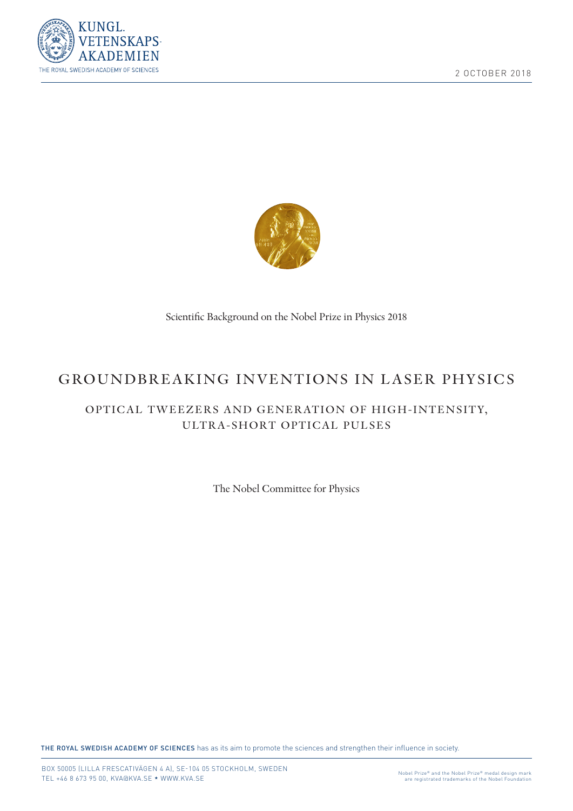



Scientific Background on the Nobel Prize in Physics 2018

## GROUNDBREAKING INVENTIONS IN LASER PHYSICS

## OPTICAL TWEEZERS AND GENERATION OF HIGH-INTENSITY, ULTRA-SHORT OPTICAL PULSES

The Nobel Committee for Physics

THE ROYAL SWEDISH ACADEMY OF SCIENCES has as its aim to promote the sciences and strengthen their influence in society.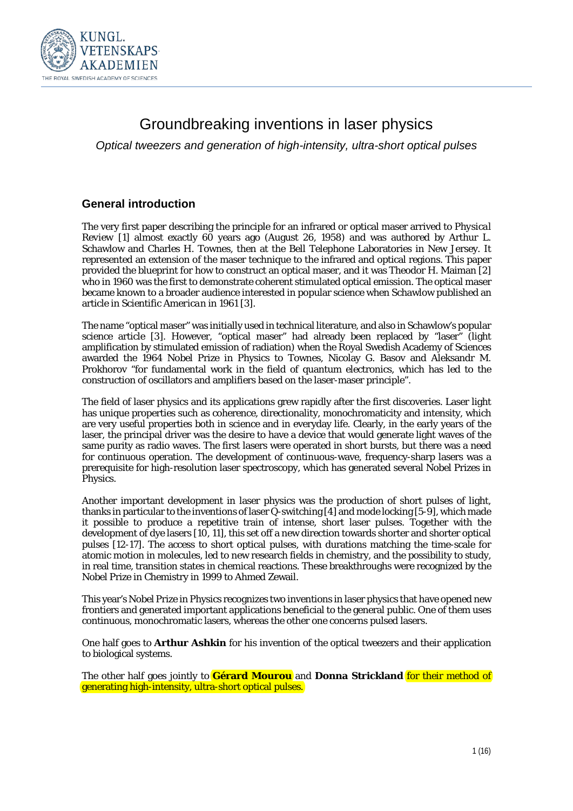

# Groundbreaking inventions in laser physics

*Optical tweezers and generation of high-intensity, ultra-short optical pulses*

### **General introduction**

The very first paper describing the principle for an infrared or optical maser arrived to *Physical Review* [1] almost exactly 60 years ago (August 26, 1958) and was authored by Arthur L. Schawlow and Charles H. Townes, then at the Bell Telephone Laboratories in New Jersey. It represented an extension of the maser technique to the infrared and optical regions. This paper provided the blueprint for how to construct an optical maser, and it was Theodor H. Maiman [2] who in 1960 was the first to demonstrate coherent stimulated optical emission. The optical maser became known to a broader audience interested in popular science when Schawlow published an article in *Scientific American* in 1961 [3].

The name "optical maser" was initially used in technical literature, and also in Schawlow's popular science article [3]. However, "optical maser" had already been replaced by "laser" (light amplification by stimulated emission of radiation) when the Royal Swedish Academy of Sciences awarded the 1964 Nobel Prize in Physics to Townes, Nicolay G. Basov and Aleksandr M. Prokhorov "for fundamental work in the field of quantum electronics, which has led to the construction of oscillators and amplifiers based on the laser-maser principle".

The field of laser physics and its applications grew rapidly after the first discoveries. Laser light has unique properties such as coherence, directionality, monochromaticity and intensity, which are very useful properties both in science and in everyday life. Clearly, in the early years of the laser, the principal driver was the desire to have a device that would generate light waves of the same purity as radio waves. The first lasers were operated in short bursts, but there was a need for continuous operation. The development of continuous-wave, frequency-sharp lasers was a prerequisite for high-resolution laser spectroscopy, which has generated several Nobel Prizes in Physics.

Another important development in laser physics was the production of short pulses of light, thanks in particular to the inventions of laser Q-switching [4] and mode locking [5-9], which made it possible to produce a repetitive train of intense, short laser pulses. Together with the development of dye lasers [10, 11], this set off a new direction towards shorter and shorter optical pulses [12-17]. The access to short optical pulses, with durations matching the time-scale for atomic motion in molecules, led to new research fields in chemistry, and the possibility to study, in real time, transition states in chemical reactions. These breakthroughs were recognized by the Nobel Prize in Chemistry in 1999 to Ahmed Zewail.

This year's Nobel Prize in Physics recognizes two inventions in laser physics that have opened new frontiers and generated important applications beneficial to the general public. One of them uses continuous, monochromatic lasers, whereas the other one concerns pulsed lasers.

One half goes to **Arthur Ashkin** for his invention of the optical tweezers and their application to biological systems.

The other half goes jointly to **Gérard Mourou** and **Donna Strickland** for their method of generating high-intensity, ultra-short optical pulses.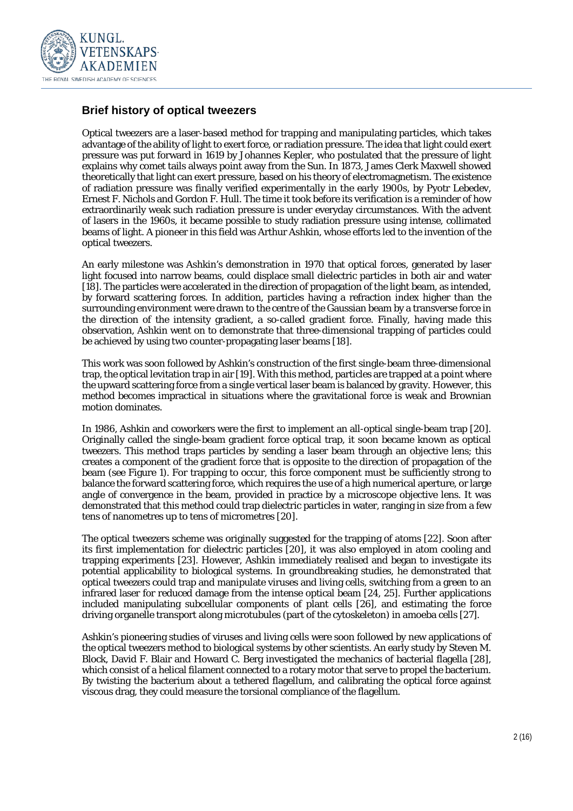

#### **Brief history of optical tweezers**

Optical tweezers are a laser-based method for trapping and manipulating particles, which takes advantage of the ability of light to exert force, or radiation pressure. The idea that light could exert pressure was put forward in 1619 by Johannes Kepler, who postulated that the pressure of light explains why comet tails always point away from the Sun. In 1873, James Clerk Maxwell showed theoretically that light can exert pressure, based on his theory of electromagnetism. The existence of radiation pressure was finally verified experimentally in the early 1900s, by Pyotr Lebedev, Ernest F. Nichols and Gordon F. Hull. The time it took before its verification is a reminder of how extraordinarily weak such radiation pressure is under everyday circumstances. With the advent of lasers in the 1960s, it became possible to study radiation pressure using intense, collimated beams of light. A pioneer in this field was Arthur Ashkin, whose efforts led to the invention of the optical tweezers.

An early milestone was Ashkin's demonstration in 1970 that optical forces, generated by laser light focused into narrow beams, could displace small dielectric particles in both air and water [18]. The particles were accelerated in the direction of propagation of the light beam, as intended, by forward scattering forces. In addition, particles having a refraction index higher than the surrounding environment were drawn to the centre of the Gaussian beam by a transverse force in the direction of the intensity gradient, a so-called gradient force. Finally, having made this observation, Ashkin went on to demonstrate that three-dimensional trapping of particles could be achieved by using two counter-propagating laser beams [18].

This work was soon followed by Ashkin's construction of the first single-beam three-dimensional trap, the optical levitation trap in air [19]. With this method, particles are trapped at a point where the upward scattering force from a single vertical laser beam is balanced by gravity. However, this method becomes impractical in situations where the gravitational force is weak and Brownian motion dominates.

In 1986, Ashkin and coworkers were the first to implement an all-optical single-beam trap [20]. Originally called the single-beam gradient force optical trap, it soon became known as optical tweezers. This method traps particles by sending a laser beam through an objective lens; this creates a component of the gradient force that is opposite to the direction of propagation of the beam (see Figure 1). For trapping to occur, this force component must be sufficiently strong to balance the forward scattering force, which requires the use of a high numerical aperture, or large angle of convergence in the beam, provided in practice by a microscope objective lens. It was demonstrated that this method could trap dielectric particles in water, ranging in size from a few tens of nanometres up to tens of micrometres [20].

The optical tweezers scheme was originally suggested for the trapping of atoms [22]. Soon after its first implementation for dielectric particles [20], it was also employed in atom cooling and trapping experiments [23]. However, Ashkin immediately realised and began to investigate its potential applicability to biological systems. In groundbreaking studies, he demonstrated that optical tweezers could trap and manipulate viruses and living cells, switching from a green to an infrared laser for reduced damage from the intense optical beam [24, 25]. Further applications included manipulating subcellular components of plant cells [26], and estimating the force driving organelle transport along microtubules (part of the cytoskeleton) in amoeba cells [27].

Ashkin's pioneering studies of viruses and living cells were soon followed by new applications of the optical tweezers method to biological systems by other scientists. An early study by Steven M. Block, David F. Blair and Howard C. Berg investigated the mechanics of bacterial flagella [28], which consist of a helical filament connected to a rotary motor that serve to propel the bacterium. By twisting the bacterium about a tethered flagellum, and calibrating the optical force against viscous drag, they could measure the torsional compliance of the flagellum.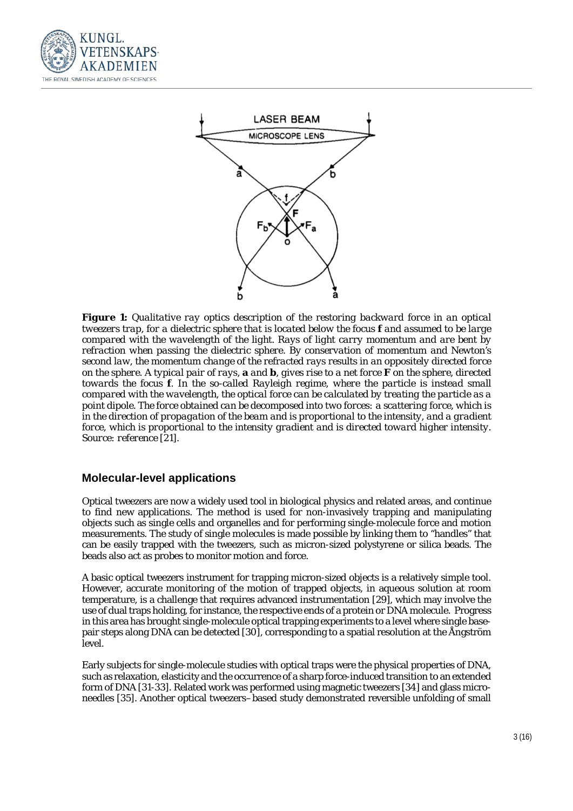



*Figure 1: Qualitative ray optics description of the restoring backward force in an optical tweezers trap, for a dielectric sphere that is located below the focus* **f** *and assumed to be large compared with the wavelength of the light*. *Rays of light carry momentum and are bent by refraction when passing the dielectric sphere. By conservation of momentum and Newton's second law, the momentum change of the refracted rays results in an oppositely directed force on the sphere. A typical pair of rays,* **a** *and* **b***, gives rise to a net force* **F** *on the sphere, directed towards the focus* **f***. In the so-called Rayleigh regime, where the particle is instead small compared with the wavelength, the optical force can be calculated by treating the particle as a point dipole. The force obtained can be decomposed into two forces: a scattering force, which is in the direction of propagation of the beam and is proportional to the intensity, and a gradient force, which is proportional to the intensity gradient and is directed toward higher intensity. Source: reference [21].* 

#### **Molecular-level applications**

Optical tweezers are now a widely used tool in biological physics and related areas, and continue to find new applications. The method is used for non-invasively trapping and manipulating objects such as single cells and organelles and for performing single-molecule force and motion measurements. The study of single molecules is made possible by linking them to "handles" that can be easily trapped with the tweezers, such as micron-sized polystyrene or silica beads. The beads also act as probes to monitor motion and force.

A basic optical tweezers instrument for trapping micron-sized objects is a relatively simple tool. However, accurate monitoring of the motion of trapped objects, in aqueous solution at room temperature, is a challenge that requires advanced instrumentation [29], which may involve the use of dual traps holding, for instance, the respective ends of a protein or DNA molecule. Progress in this area has brought single-molecule optical trapping experiments to a level where single basepair steps along DNA can be detected [30], corresponding to a spatial resolution at the Ångström level.

Early subjects for single-molecule studies with optical traps were the physical properties of DNA, such as relaxation, elasticity and the occurrence of a sharp force-induced transition to an extended form of DNA [31-33]. Related work was performed using magnetic tweezers [34] and glass microneedles [35]. Another optical tweezers–based study demonstrated reversible unfolding of small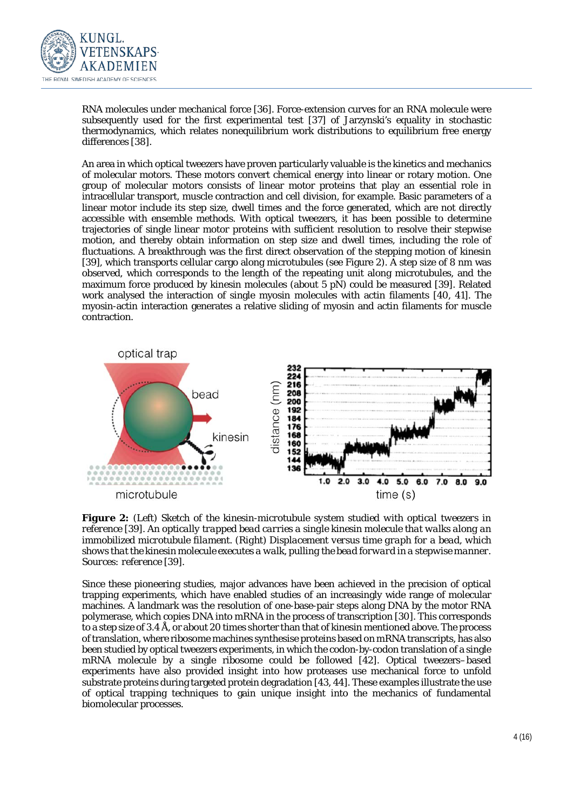

RNA molecules under mechanical force [36]. Force-extension curves for an RNA molecule were subsequently used for the first experimental test [37] of Jarzynski's equality in stochastic thermodynamics, which relates nonequilibrium work distributions to equilibrium free energy differences [38].

An area in which optical tweezers have proven particularly valuable is the kinetics and mechanics of molecular motors. These motors convert chemical energy into linear or rotary motion. One group of molecular motors consists of linear motor proteins that play an essential role in intracellular transport, muscle contraction and cell division, for example. Basic parameters of a linear motor include its step size, dwell times and the force generated, which are not directly accessible with ensemble methods. With optical tweezers, it has been possible to determine trajectories of single linear motor proteins with sufficient resolution to resolve their stepwise motion, and thereby obtain information on step size and dwell times, including the role of fluctuations. A breakthrough was the first direct observation of the stepping motion of kinesin [39], which transports cellular cargo along microtubules (see Figure 2). A step size of 8 nm was observed, which corresponds to the length of the repeating unit along microtubules, and the maximum force produced by kinesin molecules (about 5 pN) could be measured [39]. Related work analysed the interaction of single myosin molecules with actin filaments [40, 41]. The myosin-actin interaction generates a relative sliding of myosin and actin filaments for muscle contraction.



*Figure 2: (Left) Sketch of the kinesin-microtubule system studied with optical tweezers in reference [39]. An optically trapped bead carries a single kinesin molecule that walks along an immobilized microtubule filament. (Right) Displacement versus time graph for a bead, which shows that the kinesin molecule executes a walk, pulling the bead forward in a stepwise manner. Sources: reference [39].* 

Since these pioneering studies, major advances have been achieved in the precision of optical trapping experiments, which have enabled studies of an increasingly wide range of molecular machines. A landmark was the resolution of one-base-pair steps along DNA by the motor RNA polymerase, which copies DNA into mRNA in the process of transcription [30]. This corresponds to a step size of 3.4 Å, or about 20 times shorter than that of kinesin mentioned above. The process of translation, where ribosome machines synthesise proteins based on mRNA transcripts, has also been studied by optical tweezers experiments, in which the codon-by-codon translation of a single mRNA molecule by a single ribosome could be followed [42]. Optical tweezers–based experiments have also provided insight into how proteases use mechanical force to unfold substrate proteins during targeted protein degradation [43, 44]. These examples illustrate the use of optical trapping techniques to gain unique insight into the mechanics of fundamental biomolecular processes.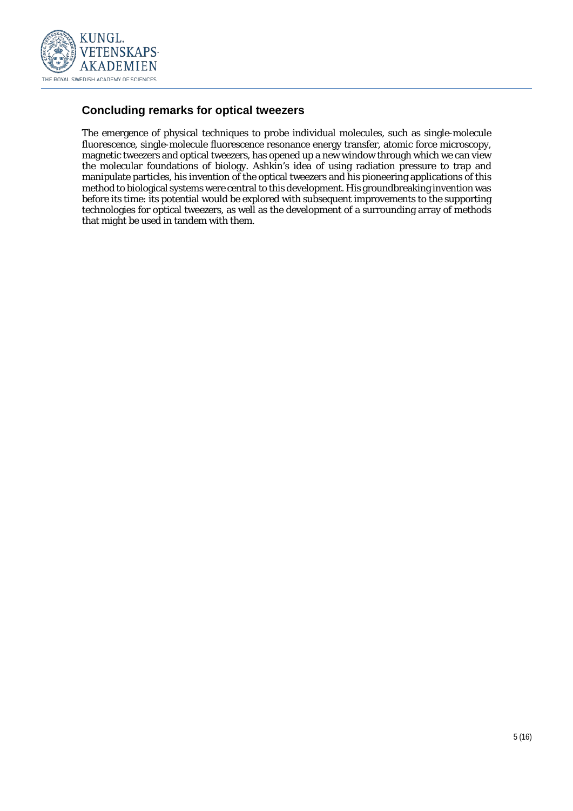

## **Concluding remarks for optical tweezers**

The emergence of physical techniques to probe individual molecules, such as single-molecule fluorescence, single-molecule fluorescence resonance energy transfer, atomic force microscopy, magnetic tweezers and optical tweezers, has opened up a new window through which we can view the molecular foundations of biology. Ashkin's idea of using radiation pressure to trap and manipulate particles, his invention of the optical tweezers and his pioneering applications of this method to biological systems were central to this development. His groundbreaking invention was before its time: its potential would be explored with subsequent improvements to the supporting technologies for optical tweezers, as well as the development of a surrounding array of methods that might be used in tandem with them.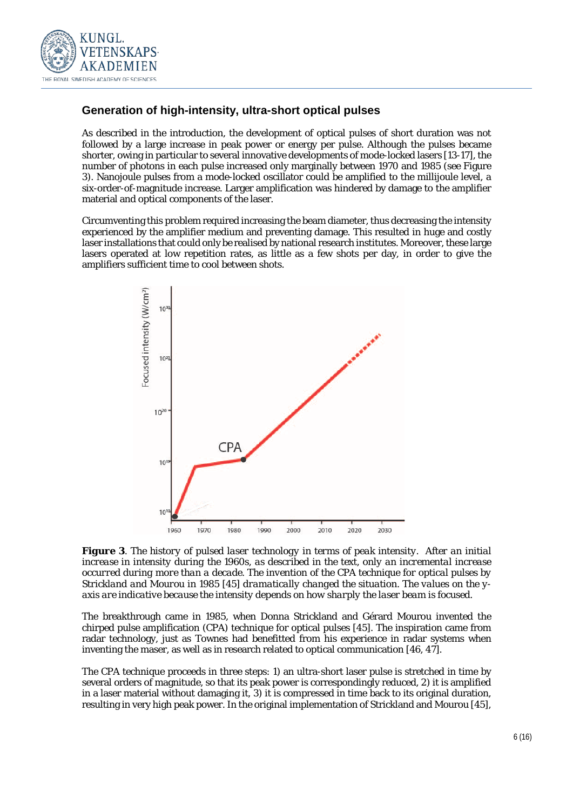

## **Generation of high-intensity, ultra-short optical pulses**

As described in the introduction, the development of optical pulses of short duration was not followed by a large increase in peak power or energy per pulse. Although the pulses became shorter, owing in particular to several innovative developments of mode-locked lasers [13-17], the number of photons in each pulse increased only marginally between 1970 and 1985 (see Figure 3). Nanojoule pulses from a mode-locked oscillator could be amplified to the millijoule level, a six-order-of-magnitude increase. Larger amplification was hindered by damage to the amplifier material and optical components of the laser.

Circumventing this problem required increasing the beam diameter, thus decreasing the intensity experienced by the amplifier medium and preventing damage. This resulted in huge and costly laser installations that could only be realised by national research institutes. Moreover, these large lasers operated at low repetition rates, as little as a few shots per day, in order to give the amplifiers sufficient time to cool between shots.



*Figure 3. The history of pulsed laser technology in terms of peak intensity. After an initial increase in intensity during the 1960s, as described in the text, only an incremental increase occurred during more than a decade. The invention of the CPA technique for optical pulses by Strickland and Mourou in 1985 [45] dramatically changed the situation. The values on the yaxis are indicative because the intensity depends on how sharply the laser beam is focused.*

The breakthrough came in 1985, when Donna Strickland and Gérard Mourou invented the chirped pulse amplification (CPA) technique for optical pulses [45]. The inspiration came from radar technology, just as Townes had benefitted from his experience in radar systems when inventing the maser, as well as in research related to optical communication [46, 47].

The CPA technique proceeds in three steps: 1) an ultra-short laser pulse is stretched in time by several orders of magnitude, so that its peak power is correspondingly reduced, 2) it is amplified in a laser material without damaging it, 3) it is compressed in time back to its original duration, resulting in very high peak power. In the original implementation of Strickland and Mourou [45],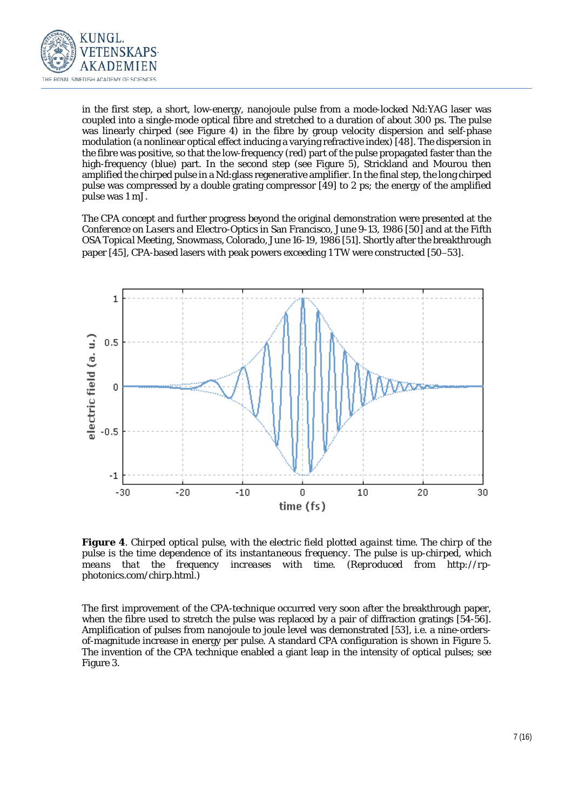

in the first step, a short, low-energy, nanojoule pulse from a mode-locked Nd:YAG laser was coupled into a single-mode optical fibre and stretched to a duration of about 300 ps. The pulse was linearly chirped (see Figure 4) in the fibre by group velocity dispersion and self-phase modulation (a nonlinear optical effect inducing a varying refractive index) [48]. The dispersion in the fibre was positive, so that the low-frequency (red) part of the pulse propagated faster than the high-frequency (blue) part. In the second step (see Figure 5), Strickland and Mourou then amplified the chirped pulse in a Nd:glass regenerative amplifier. In the final step, the long chirped pulse was compressed by a double grating compressor [49] to 2 ps; the energy of the amplified pulse was 1 mJ.

The CPA concept and further progress beyond the original demonstration were presented at the *Conference on Lasers and Electro-Optics* in San Francisco, June 9-13, 1986 [50] and at the *Fifth OSA Topical Meeting*, Snowmass, Colorado, June 16-19, 1986 [51]. Shortly after the breakthrough paper [45], CPA-based lasers with peak powers exceeding 1 TW were constructed [50−53].



*Figure 4. Chirped optical pulse, with the electric field plotted against time. The chirp of the pulse is the time dependence of its instantaneous frequency. The pulse is up-chirped, which means that the frequency increases with time. (Reproduced from http://rpphotonics.com/chirp.html.)*

The first improvement of the CPA-technique occurred very soon after the breakthrough paper, when the fibre used to stretch the pulse was replaced by a pair of diffraction gratings [54-56]. Amplification of pulses from nanojoule to joule level was demonstrated [53], i.e. a nine-ordersof-magnitude increase in energy per pulse. A standard CPA configuration is shown in Figure 5. The invention of the CPA technique enabled a giant leap in the intensity of optical pulses; see Figure 3.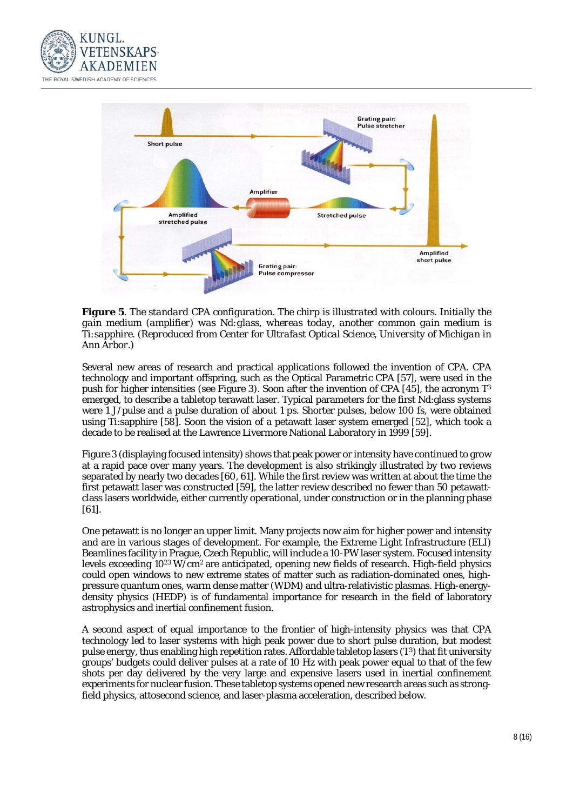



*Figure 5. The standard CPA configuration. The chirp is illustrated with colours. Initially the gain medium (amplifier) was Nd:glass, whereas today, another common gain medium is Ti:sapphire. (Reproduced from Center for Ultrafast Optical Science, University of Michigan in Ann Arbor.)*

Several new areas of research and practical applications followed the invention of CPA. CPA technology and important offspring, such as the Optical Parametric CPA [57], were used in the push for higher intensities (see Figure 3). Soon after the invention of CPA [45], the acronym  $T<sup>3</sup>$ emerged, to describe a tabletop terawatt laser. Typical parameters for the first Nd:glass systems were 1 J/pulse and a pulse duration of about 1 ps. Shorter pulses, below 100 fs, were obtained using Ti:sapphire [58]. Soon the vision of a petawatt laser system emerged [52], which took a decade to be realised at the Lawrence Livermore National Laboratory in 1999 [59].

Figure 3 (displaying *focused* intensity) shows that peak power or intensity have continued to grow at a rapid pace over many years. The development is also strikingly illustrated by two reviews separated by nearly two decades [60, 61]. While the first review was written at about the time the first petawatt laser was constructed [59], the latter review described no fewer than 50 petawattclass lasers worldwide, either currently operational, under construction or in the planning phase [61].

One petawatt is no longer an upper limit. Many projects now aim for higher power and intensity and are in various stages of development. For example, the Extreme Light Infrastructure (ELI) Beamlines facility in Prague, Czech Republic, will include a 10-PW laser system. Focused intensity levels exceeding 1023 W/cm2 are anticipated, opening new fields of research. High-field physics could open windows to new extreme states of matter such as radiation-dominated ones, highpressure quantum ones, warm dense matter (WDM) and ultra-relativistic plasmas. High-energydensity physics (HEDP) is of fundamental importance for research in the field of laboratory astrophysics and inertial confinement fusion.

A second aspect of equal importance to the frontier of high-intensity physics was that CPA technology led to laser systems with high peak power due to short pulse duration, but modest pulse energy, thus enabling high repetition rates. Affordable tabletop lasers (T3) that fit university groups' budgets could deliver pulses at a rate of 10 Hz with peak power equal to that of the few shots per day delivered by the very large and expensive lasers used in inertial confinement experiments for nuclear fusion. These tabletop systems opened new research areas such as strongfield physics, attosecond science, and laser-plasma acceleration, described below.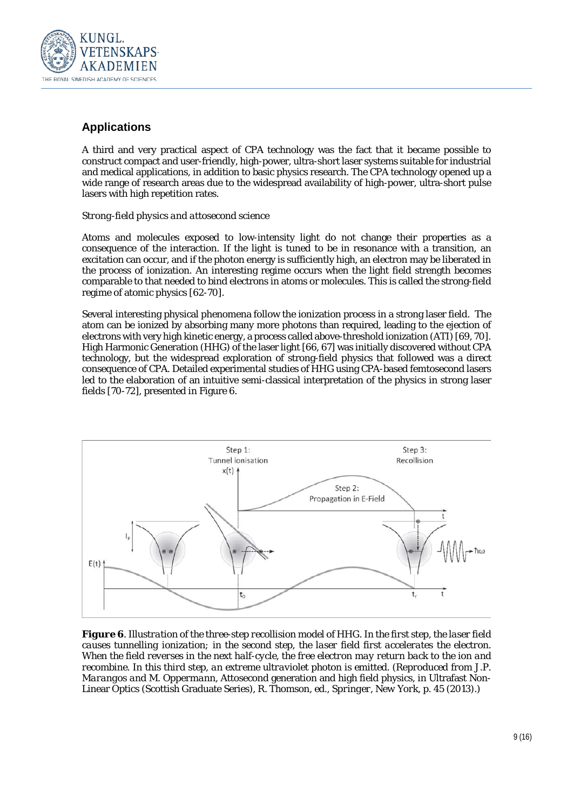

## **Applications**

A third and very practical aspect of CPA technology was the fact that it became possible to construct compact and user-friendly, high-power, ultra-short laser systems suitable for industrial and medical applications, in addition to basic physics research. The CPA technology opened up a wide range of research areas due to the widespread availability of high-power, ultra-short pulse lasers with high repetition rates.

#### *Strong-field physics and attosecond science*

Atoms and molecules exposed to low-intensity light do not change their properties as a consequence of the interaction. If the light is tuned to be in resonance with a transition, an excitation can occur, and if the photon energy is sufficiently high, an electron may be liberated in the process of ionization. An interesting regime occurs when the light field strength becomes comparable to that needed to bind electrons in atoms or molecules. This is called the strong-field regime of atomic physics [62-70].

Several interesting physical phenomena follow the ionization process in a strong laser field. The atom can be ionized by absorbing many more photons than required, leading to the ejection of electrons with very high kinetic energy, a process called above-threshold ionization (ATI) [69, 70]. High Harmonic Generation (HHG) of the laser light [66, 67] was initially discovered without CPA technology, but the widespread exploration of strong-field physics that followed was a direct consequence of CPA. Detailed experimental studies of HHG using CPA-based femtosecond lasers led to the elaboration of an intuitive semi-classical interpretation of the physics in strong laser fields [70-72], presented in Figure 6.



*Figure 6. Illustration of the three-step recollision model of HHG. In the first step, the laser field causes tunnelling ionization; in the second step, the laser field first accelerates the electron. When the field reverses in the next half-cycle, the free electron may return back to the ion and recombine. In this third step, an extreme ultraviolet photon is emitted. (Reproduced from J.P. Marangos and M. Oppermann,* Attosecond generation and high field physics, in Ultrafast Non-Linear Optics (Scottish Graduate Series)*, R. Thomson, ed., Springer, New York, p. 45 (2013).)*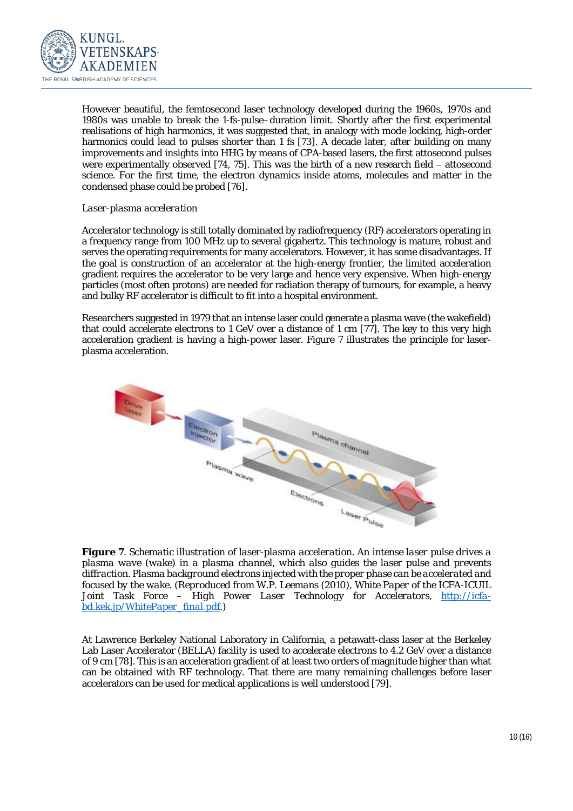

However beautiful, the femtosecond laser technology developed during the 1960s, 1970s and 1980s was unable to break the 1-fs-pulse–duration limit. Shortly after the first experimental realisations of high harmonics, it was suggested that, in analogy with mode locking, high-order harmonics could lead to pulses shorter than 1 fs [73]. A decade later, after building on many improvements and insights into HHG by means of CPA-based lasers, the first attosecond pulses were experimentally observed [74, 75]. This was the birth of a new research field − attosecond science. For the first time, the electron dynamics inside atoms, molecules and matter in the condensed phase could be probed [76].

#### *Laser-plasma acceleration*

Accelerator technology is still totally dominated by radiofrequency (RF) accelerators operating in a frequency range from 100 MHz up to several gigahertz. This technology is mature, robust and serves the operating requirements for many accelerators. However, it has some disadvantages. If the goal is construction of an accelerator at the high-energy frontier, the limited acceleration gradient requires the accelerator to be very large and hence very expensive. When high-energy particles (most often protons) are needed for radiation therapy of tumours, for example, a heavy and bulky RF accelerator is difficult to fit into a hospital environment.

Researchers suggested in 1979 that an intense laser could generate a plasma wave (the wakefield) that could accelerate electrons to 1 GeV over a distance of 1 cm [77]. The key to this very high acceleration gradient is having a high-power laser. Figure 7 illustrates the principle for laserplasma acceleration.



*Figure 7. Schematic illustration of laser-plasma acceleration. An intense laser pulse drives a plasma wave (wake) in a plasma channel, which also guides the laser pulse and prevents diffraction. Plasma background electrons injected with the proper phase can be accelerated and focused by the wake. (Reproduced from W.P. Leemans (2010), White Paper of the ICFA-ICUIL Joint Task Force – High Power Laser Technology for Accelerators, [http://icfa](http://icfa-bd.kek.jp/WhitePaper_final.pdf)[bd.kek.jp/WhitePaper\\_final.pdf.](http://icfa-bd.kek.jp/WhitePaper_final.pdf))*

At Lawrence Berkeley National Laboratory in California, a petawatt-class laser at the Berkeley Lab Laser Accelerator (BELLA) facility is used to accelerate electrons to 4.2 GeV over a distance of 9 cm [78]. This is an acceleration gradient of at least two orders of magnitude higher than what can be obtained with RF technology. That there are many remaining challenges before laser accelerators can be used for medical applications is well understood [79].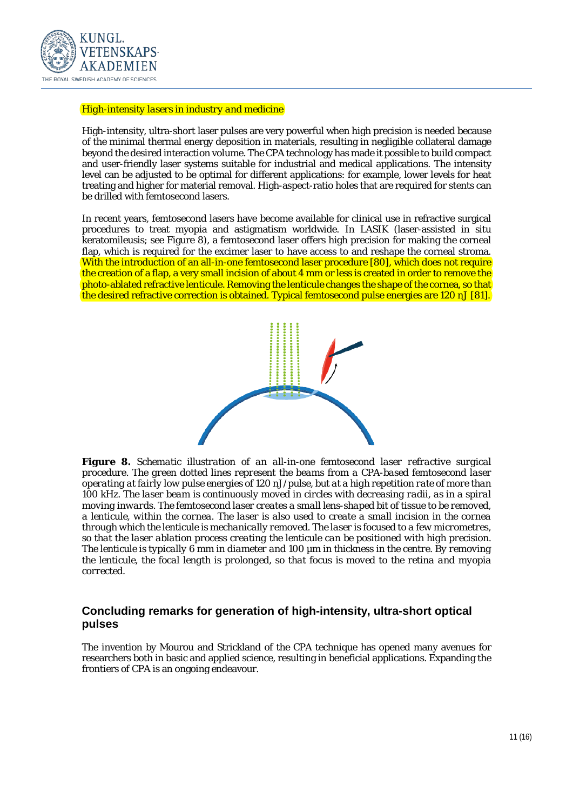

#### *High-intensity lasers in industry and medicine*

High-intensity, ultra-short laser pulses are very powerful when high precision is needed because of the minimal thermal energy deposition in materials, resulting in negligible collateral damage beyond the desired interaction volume. The CPA technology has made it possible to build compact and user-friendly laser systems suitable for industrial and medical applications. The intensity level can be adjusted to be optimal for different applications: for example, lower levels for heat treating and higher for material removal. High-aspect-ratio holes that are required for stents can be drilled with femtosecond lasers.

In recent years, femtosecond lasers have become available for clinical use in refractive surgical procedures to treat myopia and astigmatism worldwide. In LASIK (laser-assisted in situ keratomileusis; see Figure 8), a femtosecond laser offers high precision for making the corneal flap, which is required for the excimer laser to have access to and reshape the corneal stroma. With the introduction of an all-in-one femtosecond laser procedure [80], which does not require the creation of a flap, a very small incision of about 4 mm or less is created in order to remove the photo-ablated refractive lenticule. Removing the lenticule changes the shape of the cornea, so that the desired refractive correction is obtained. Typical femtosecond pulse energies are 120 nJ [81].



*Figure 8. Schematic illustration of an all-in-one femtosecond laser refractive surgical procedure. The green dotted lines represent the beams from a CPA-based femtosecond laser operating at fairly low pulse energies of 120 nJ/pulse, but at a high repetition rate of more than 100 kHz. The laser beam is continuously moved in circles with decreasing radii, as in a spiral moving inwards. The femtosecond laser creates a small lens-shaped bit of tissue to be removed, a lenticule, within the cornea. The laser is also used to create a small incision in the cornea through which the lenticule is mechanically removed. The laser is focused to a few micrometres, so that the laser ablation process creating the lenticule can be positioned with high precision. The lenticule is typically 6 mm in diameter and 100 µm in thickness in the centre. By removing the lenticule, the focal length is prolonged, so that focus is moved to the retina and myopia corrected.*

#### **Concluding remarks for generation of high-intensity, ultra-short optical pulses**

The invention by Mourou and Strickland of the CPA technique has opened many avenues for researchers both in basic and applied science, resulting in beneficial applications. Expanding the frontiers of CPA is an ongoing endeavour.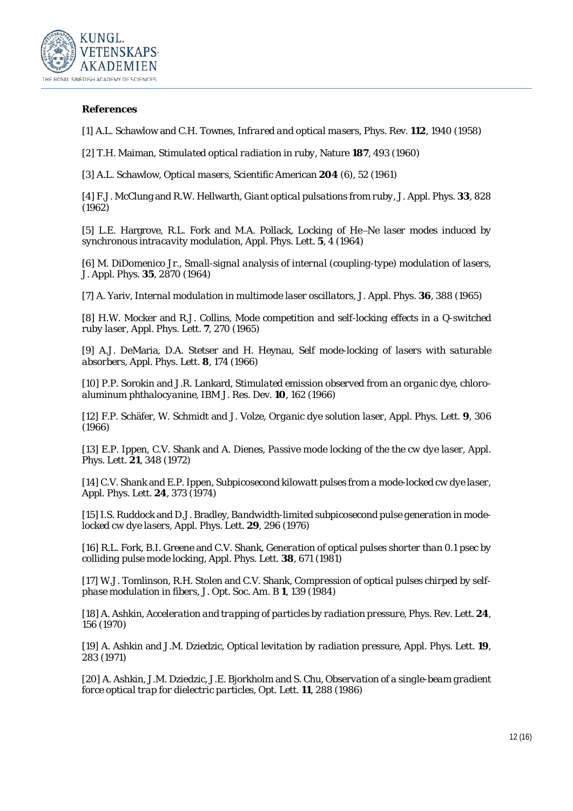

#### **References**

[1] A.L. Schawlow and C.H. Townes, *Infrared and optical masers*, Phys. Rev. **112**, 1940 (1958)

[2] T.H. Maiman, *Stimulated optical radiation in ruby*, Nature **187**, 493 (1960)

[3] A.L. Schawlow, *Optical masers*, Scientific American **204** (6), 52 (1961)

[4] F.J. McClung and R.W. Hellwarth, *Giant optical pulsations from ruby*, J. Appl. Phys. **33**, 828 (1962)

[5] L.E. Hargrove, R.L. Fork and M.A. Pollack, *Locking of He*−*Ne laser modes induced by synchronous intracavity modulation*, Appl. Phys. Lett. **5**, 4 (1964)

[6] M. DiDomenico Jr., *Small-signal analysis of internal (coupling-type) modulation of lasers*, J. Appl. Phys. **35**, 2870 (1964)

[7] A. Yariv, *Internal modulation in multimode laser oscillators*, J. Appl. Phys. **36**, 388 (1965)

[8] H.W. Mocker and R.J. Collins, *Mode competition and self-locking effects in a Q-switched ruby laser*, Appl. Phys. Lett. **7**, 270 (1965)

[9] A.J. DeMaria, D.A. Stetser and H. Heynau, *Self mode-locking of lasers with saturable absorbers*, Appl. Phys. Lett. **8**, 174 (1966)

[10] P.P. Sorokin and J.R. Lankard, *Stimulated emission observed from an organic dye, chloroaluminum phthalocyanine*, IBM J. Res. Dev. **10**, 162 (1966)

[12] F.P. Schäfer, W. Schmidt and J. Volze, *Organic dye solution laser*, Appl. Phys. Lett. **9**, 306 (1966)

[13] E.P. Ippen, C.V. Shank and A. Dienes, *Passive mode locking of the the cw dye laser*, Appl. Phys. Lett. **21**, 348 (1972)

[14] C.V. Shank and E.P. Ippen, *Subpicosecond kilowatt pulses from a mode-locked cw dye laser*, Appl. Phys. Lett. **24**, 373 (1974)

[15] I.S. Ruddock and D.J. Bradley, *Bandwidth-limited subpicosecond pulse generation in modelocked cw dye lasers*, Appl. Phys. Lett. **29**, 296 (1976)

[16] R.L. Fork, B.I. Greene and C.V. Shank, *Generation of optical pulses shorter than 0.1 psec by colliding pulse mode locking*, Appl. Phys. Lett. **38**, 671 (1981)

[17] W.J. Tomlinson, R.H. Stolen and C.V. Shank, *Compression of optical pulses chirped by selfphase modulation in fibers*, J. Opt. Soc. Am. B **1**, 139 (1984)

[18] A. Ashkin, *Acceleration and trapping of particles by radiation pressure*, Phys. Rev. Lett. **24**, 156 (1970)

[19] A. Ashkin and J.M. Dziedzic, *Optical levitation by radiation pressure*, Appl. Phys. Lett. **19**, 283 (1971)

[20] A. Ashkin, J.M. Dziedzic, J.E. Bjorkholm and S. Chu, *Observation of a single-beam gradient force optical trap for dielectric particles*, Opt. Lett. **11**, 288 (1986)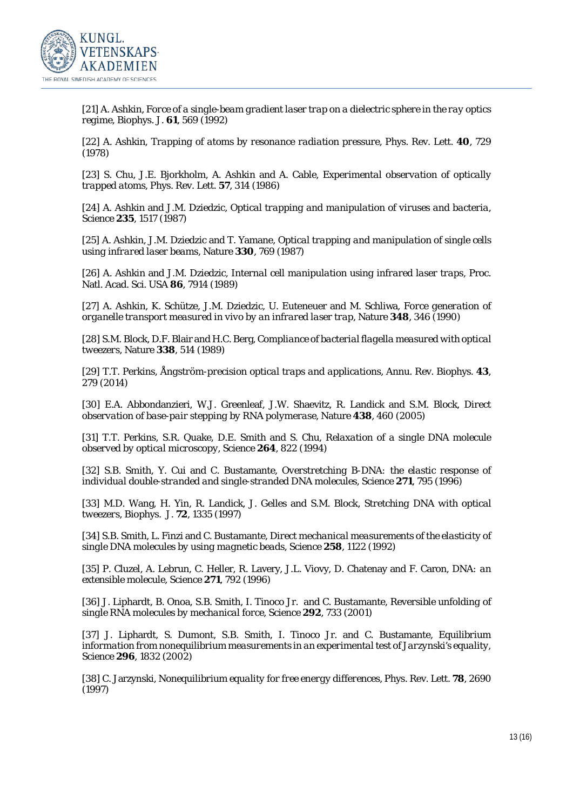

[21] A. Ashkin, *Force of a single-beam gradient laser trap on a dielectric sphere in the ray optics regime*, Biophys. J. **61**, 569 (1992)

[22] A. Ashkin, *Trapping of atoms by resonance radiation pressure*, Phys. Rev. Lett. **40**, 729 (1978)

[23] S. Chu, J.E. Bjorkholm, A. Ashkin and A. Cable, *Experimental observation of optically trapped atoms*, Phys. Rev. Lett. **57**, 314 (1986)

[24] A. Ashkin and J.M. Dziedzic, *Optical trapping and manipulation of viruses and bacteria*, Science **235**, 1517 (1987)

[25] A. Ashkin, J.M. Dziedzic and T. Yamane, *Optical trapping and manipulation of single cells using infrared laser beams*, Nature **330**, 769 (1987)

[26] A. Ashkin and J.M. Dziedzic, *Internal cell manipulation using infrared laser traps*, Proc. Natl. Acad. Sci. USA **86**, 7914 (1989)

[27] A. Ashkin, K. Schütze, J.M. Dziedzic, U. Euteneuer and M. Schliwa, *Force generation of organelle transport measured in vivo by an infrared laser trap*, Nature **348**, 346 (1990)

[28] S.M. Block, D.F. Blair and H.C. Berg, *Compliance of bacterial flagella measured with optical tweezers*, Nature **338**, 514 (1989)

[29] T.T. Perkins, *Ångström-precision optical traps and applications*, Annu. Rev. Biophys. **43**, 279 (2014)

[30] E.A. Abbondanzieri, W.J. Greenleaf, J.W. Shaevitz, R. Landick and S.M. Block, *Direct observation of base-pair stepping by RNA polymerase*, Nature **438**, 460 (2005)

[31] T.T. Perkins, S.R. Quake, D.E. Smith and S. Chu, *Relaxation of a single DNA molecule observed by optical microscopy*, Science **264**, 822 (1994)

[32] S.B. Smith, Y. Cui and C. Bustamante, *Overstretching B-DNA: the elastic response of individual double-stranded and single-stranded DNA molecules*, Science **271**, 795 (1996)

[33] M.D. Wang, H. Yin, R. Landick, J. Gelles and S.M. Block, *Stretching DNA with optical tweezers*, Biophys. J. **72**, 1335 (1997)

[34] S.B. Smith, L. Finzi and C. Bustamante, *Direct mechanical measurements of the elasticity of single DNA molecules by using magnetic beads*, Science **258**, 1122 (1992)

[35] P. Cluzel, A. Lebrun, C. Heller, R. Lavery, J.L. Viovy, D. Chatenay and F. Caron, *DNA: an extensible molecule*, Science **271**, 792 (1996)

[36] J. Liphardt, B. Onoa, S.B. Smith, I. Tinoco Jr. and C. Bustamante, *Reversible unfolding of single RNA molecules by mechanical force*, Science **292**, 733 (2001)

[37] J. Liphardt, S. Dumont, S.B. Smith, I. Tinoco Jr. and C. Bustamante, *Equilibrium information from nonequilibrium measurements in an experimental test of Jarzynski's equality*, Science **296**, 1832 (2002)

[38] C. Jarzynski, *Nonequilibrium equality for free energy differences*, Phys. Rev. Lett. **78**, 2690 (1997)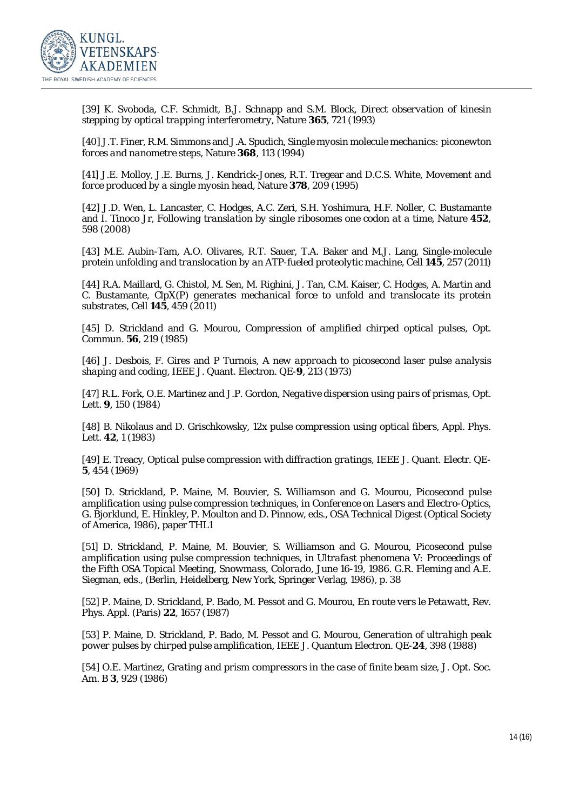

[39] K. Svoboda, C.F. Schmidt, B.J. Schnapp and S.M. Block, *Direct observation of kinesin stepping by optical trapping interferometry*, Nature **365**, 721 (1993)

[40] J.T. Finer, R.M. Simmons and J.A. Spudich, *Single myosin molecule mechanics: piconewton forces and nanometre steps*, Nature **368**, 113 (1994)

[41] J.E. Molloy, J.E. Burns, J. Kendrick-Jones, R.T. Tregear and D.C.S. White, *Movement and force produced by a single myosin head*, Nature **378**, 209 (1995)

[42] J.D. Wen, L. Lancaster, C. Hodges, A.C. Zeri, S.H. Yoshimura, H.F. Noller, C. Bustamante and I. Tinoco Jr, *Following translation by single ribosomes one codon at a time*, Nature **452**, 598 (2008)

[43] M.E. Aubin-Tam, A.O. Olivares, R.T. Sauer, T.A. Baker and M.J. Lang, *Single-molecule protein unfolding and translocation by an ATP-fueled proteolytic machine*, Cell **145**, 257 (2011)

[44] R.A. Maillard, G. Chistol, M. Sen, M. Righini, J. Tan, C.M. Kaiser, C. Hodges, A. Martin and C. Bustamante, *ClpX(P) generates mechanical force to unfold and translocate its protein substrates*, Cell **145**, 459 (2011)

[45] D. Strickland and G. Mourou, *Compression of amplified chirped optical pulses*, Opt. Commun. **56**, 219 (1985)

[46] J. Desbois, F. Gires and P Turnois, *A new approach to picosecond laser pulse analysis shaping and coding*, IEEE J. Quant. Electron. QE-**9**, 213 (1973)

[47] R.L. Fork, O.E. Martinez and J.P. Gordon, *Negative dispersion using pairs of prismas*, Opt. Lett. **9**, 150 (1984)

[48] B. Nikolaus and D. Grischkowsky, *12x pulse compression using optical fibers*, Appl. Phys. Lett. **42**, 1 (1983)

[49] E. Treacy, *Optical pulse compression with diffraction gratings*, IEEE J. Quant. Electr. QE-**5**, 454 (1969)

[50] D. Strickland, P. Maine, M. Bouvier, S. Williamson and G. Mourou, *Picosecond pulse amplification using pulse compression techniques*, in *Conference on Lasers and Electro-Optics*, G. Bjorklund, E. Hinkley, P. Moulton and D. Pinnow, eds., OSA Technical Digest (Optical Society of America, 1986), paper THL1

[51] D. Strickland, P. Maine, M. Bouvier, S. Williamson and G. Mourou, *Picosecond pulse amplification using pulse compression techniques*, in *Ultrafast phenomena V: Proceedings of the Fifth OSA Topical Meeting, Snowmass, Colorado, June 16-19, 1986*. G.R. Fleming and A.E. Siegman, eds., (Berlin, Heidelberg, New York, Springer Verlag, 1986), p. 38

[52] P. Maine, D. Strickland, P. Bado, M. Pessot and G. Mourou, *En route vers le Petawatt*, Rev. Phys. Appl. (Paris) **22**, 1657 (1987)

[53] P. Maine, D. Strickland, P. Bado, M. Pessot and G. Mourou, *Generation of ultrahigh peak power pulses by chirped pulse amplification*, IEEE J. Quantum Electron. QE-**24**, 398 (1988)

[54] O.E. Martinez, *Grating and prism compressors in the case of finite beam size*, J. Opt. Soc. Am. B **3**, 929 (1986)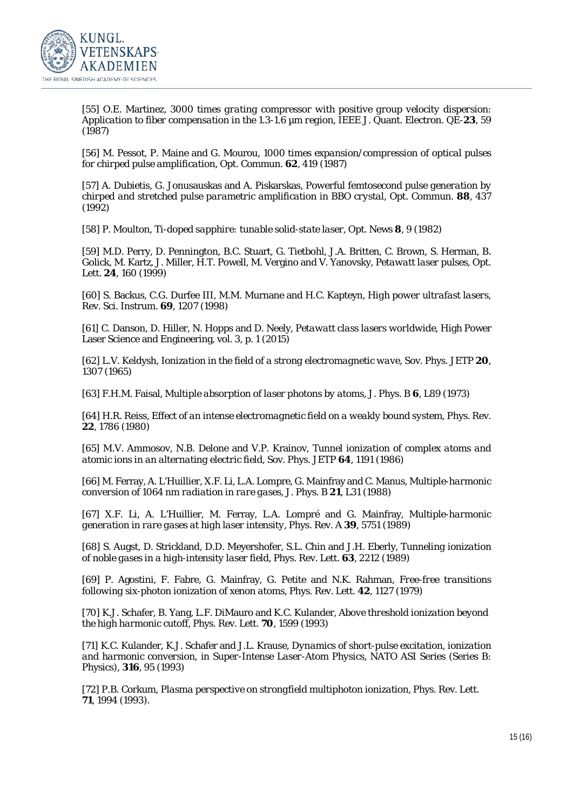

[55] O.E. Martinez, *3000 times grating compressor with positive group velocity dispersion*: *Application to fiber compensation in the 1.3-1.6 µm region*, IEEE J. Quant. Electron. QE-**23**, 59 (1987)

[56] M. Pessot, P. Maine and G. Mourou, *1000 times expansion/compression of optical pulses for chirped pulse amplification*, Opt. Commun. **62**, 419 (1987)

[57] A. Dubietis, G. Jonusauskas and A. Piskarskas, *Powerful femtosecond pulse generation by chirped and stretched pulse parametric amplification in BBO crystal*, Opt. Commun. **88**, 437 (1992)

[58] P. Moulton, *Ti-doped sapphire: tunable solid-state laser*, Opt. News **8**, 9 (1982)

[59] M.D. Perry, D. Pennington, B.C. Stuart, G. Tietbohl, J.A. Britten, C. Brown, S. Herman, B. Golick, M. Kartz, J. Miller, H.T. Powell, M. Vergino and V. Yanovsky, *Petawatt laser pulses*, Opt. Lett. **24**, 160 (1999)

[60] S. Backus, C.G. Durfee III, M.M. Murnane and H.C. Kapteyn, *High power ultrafast lasers*, Rev. Sci. Instrum. **69**, 1207 (1998)

[61] C. Danson, D. Hiller, N. Hopps and D. Neely, *Petawatt class lasers worldwide*, High Power Laser Science and Engineering, vol. 3, p. 1 (2015)

[62] L.V. Keldysh, *Ionization in the field of a strong electromagnetic wave*, Sov. Phys. JETP **20**, 1307 (1965)

[63] F.H.M. Faisal, *Multiple absorption of laser photons by atoms*, J. Phys. B **6**, L89 (1973)

[64] H.R. Reiss, *Effect of an intense electromagnetic field on a weakly bound system*, Phys. Rev. **22**, 1786 (1980)

[65] M.V. Ammosov, N.B. Delone and V.P. Krainov, *Tunnel ionization of complex atoms and atomic ions in an alternating electric field*, Sov. Phys. JETP **64**, 1191 (1986)

[66] M. Ferray, A. L'Huillier, X.F. Li, L.A. Lompre, G. Mainfray and C. Manus, *Multiple-harmonic conversion of 1064 nm radiation in rare gases*, J. Phys. B **21**, L31 (1988)

[67] X.F. Li, A. L'Huillier, M. Ferray, L.A. Lompré and G. Mainfray, *Multiple-harmonic generation in rare gases at high laser intensity*, Phys. Rev. A **39**, 5751 (1989)

[68] S. Augst, D. Strickland, D.D. Meyershofer, S.L. Chin and J.H. Eberly, *Tunneling ionization of noble gases in a high-intensity laser field*, Phys. Rev. Lett. **63**, 2212 (1989)

[69] P. Agostini, F. Fabre, G. Mainfray, G. Petite and N.K. Rahman, *Free-free transitions following six-photon ionization of xenon atoms*, Phys. Rev. Lett. **42**, 1127 (1979)

[70] K.J. Schafer, B. Yang, L.F. DiMauro and K.C. Kulander, *Above threshold ionization beyond the high harmonic cutoff*, Phys. Rev. Lett. **70**, 1599 (1993)

[71] K.C. Kulander, K.J. Schafer and J.L. Krause, *Dynamics of short-pulse excitation, ionization and harmonic conversion*, in *Super-Intense Laser-Atom Physics*, NATO ASI Series (Series B: Physics), **316**, 95 (1993)

[72] P.B. Corkum, *Plasma perspective on strongfield multiphoton ionization*, Phys. Rev. Lett. **71**, 1994 (1993).